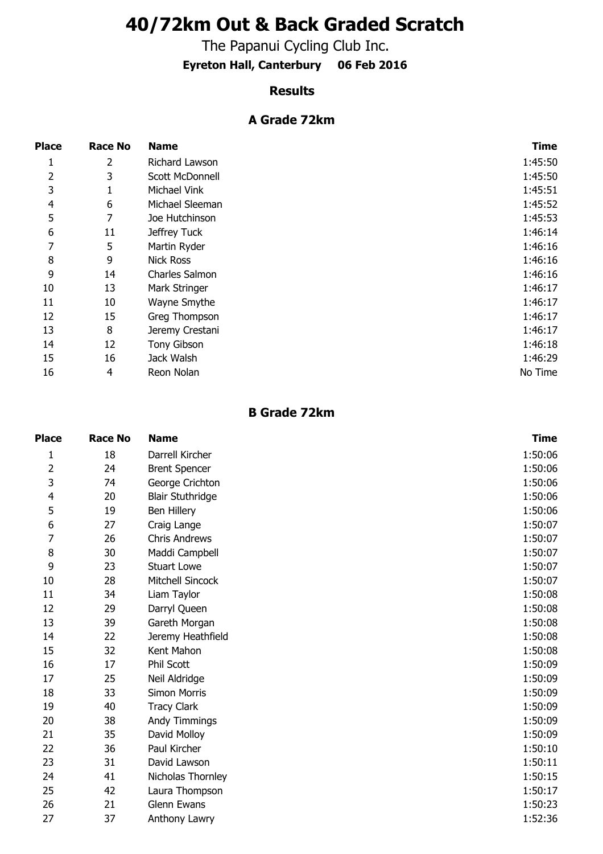# **40/72km Out & Back Graded Scratch**

The Papanui Cycling Club Inc.

**Eyreton Hall, Canterbury 06 Feb 2016**

#### **Results**

### **A Grade 72km**

| <b>Place</b> | <b>Race No</b> | <b>Name</b>      | <b>Time</b> |
|--------------|----------------|------------------|-------------|
| 1            | $\overline{2}$ | Richard Lawson   | 1:45:50     |
| 2            | 3              | Scott McDonnell  | 1:45:50     |
| 3            | 1              | Michael Vink     | 1:45:51     |
| 4            | 6              | Michael Sleeman  | 1:45:52     |
| 5            | 7              | Joe Hutchinson   | 1:45:53     |
| 6            | 11             | Jeffrey Tuck     | 1:46:14     |
| 7            | 5              | Martin Ryder     | 1:46:16     |
| 8            | 9              | <b>Nick Ross</b> | 1:46:16     |
| 9            | 14             | Charles Salmon   | 1:46:16     |
| 10           | 13             | Mark Stringer    | 1:46:17     |
| 11           | 10             | Wayne Smythe     | 1:46:17     |
| 12           | 15             | Greg Thompson    | 1:46:17     |
| 13           | 8              | Jeremy Crestani  | 1:46:17     |
| 14           | 12             | Tony Gibson      | 1:46:18     |
| 15           | 16             | Jack Walsh       | 1:46:29     |
| 16           | 4              | Reon Nolan       | No Time     |

#### **B Grade 72km**

| <b>Place</b>   | <b>Race No</b> | <b>Name</b>             | <b>Time</b> |
|----------------|----------------|-------------------------|-------------|
| $\mathbf{1}$   | 18             | Darrell Kircher         | 1:50:06     |
| $\overline{2}$ | 24             | <b>Brent Spencer</b>    | 1:50:06     |
| 3              | 74             | George Crichton         | 1:50:06     |
| 4              | 20             | <b>Blair Stuthridge</b> | 1:50:06     |
| 5              | 19             | Ben Hillery             | 1:50:06     |
| 6              | 27             | Craig Lange             | 1:50:07     |
| 7              | 26             | <b>Chris Andrews</b>    | 1:50:07     |
| 8              | 30             | Maddi Campbell          | 1:50:07     |
| 9              | 23             | <b>Stuart Lowe</b>      | 1:50:07     |
| 10             | 28             | Mitchell Sincock        | 1:50:07     |
| 11             | 34             | Liam Taylor             | 1:50:08     |
| 12             | 29             | Darryl Queen            | 1:50:08     |
| 13             | 39             | Gareth Morgan           | 1:50:08     |
| 14             | 22             | Jeremy Heathfield       | 1:50:08     |
| 15             | 32             | Kent Mahon              | 1:50:08     |
| 16             | 17             | Phil Scott              | 1:50:09     |
| 17             | 25             | Neil Aldridge           | 1:50:09     |
| 18             | 33             | Simon Morris            | 1:50:09     |
| 19             | 40             | <b>Tracy Clark</b>      | 1:50:09     |
| 20             | 38             | Andy Timmings           | 1:50:09     |
| 21             | 35             | David Molloy            | 1:50:09     |
| 22             | 36             | Paul Kircher            | 1:50:10     |
| 23             | 31             | David Lawson            | 1:50:11     |
| 24             | 41             | Nicholas Thornley       | 1:50:15     |
| 25             | 42             | Laura Thompson          | 1:50:17     |
| 26             | 21             | Glenn Ewans             | 1:50:23     |
| 27             | 37             | Anthony Lawry           | 1:52:36     |